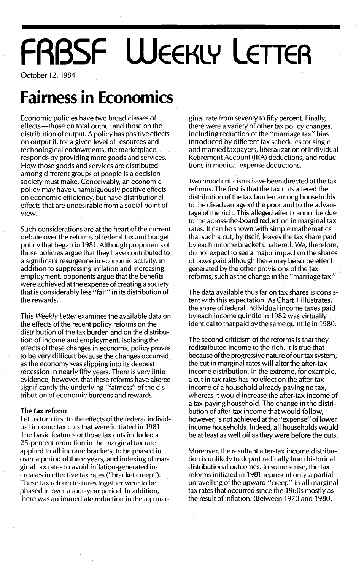# **FABSF WEEKLY LETTER**

October 12, 1984

### **Fairness in Economics**

Economic policies have two broad classes of effects-those on total output and those on the distribution of output. A policy has positive effects on output if, for a given level of resources and technological endowments, the marketplace responds by providing more goods and services. How those goods and services are distributed among different groups of people is a decision society must make; Conceivably, an economic policy may have unambiguously positive effects on economic efficiency, but have distributional effects that are undesirable from a social point of view.

Such considerations are at the heart of the current debate over the reforms of federal tax and budget policy that began in 1981. Although proponents of those policies argue that they have contributed to a significant resurgence in economic activity, in addition to suppressing inflation and increasing employment, opponents argue that the benefits were achieved at the expense of creating a society that is considerably less "fair" in its distribution of the rewards.

This Weekly Letter examines the available data on the effects of the recent policy reforms on the distribution of the tax burden and on the distribution of income and employment. Isolating the effects of these changes in economic policy proves to be very difficult because the changes occurred as the economy was slipping into its deepest recession in nearly fifty years. There is very little evidence, however, that these reforms have altered significantly the underlying "fairness" of the distribution of economic burdens and rewards.

#### **The tax reform**

Let us turn first to the effects of the federal individual income tax cuts that were initiated in 1981. The basic features of those tax cuts included a 25-percent reduction in the marginal tax rate applied to all income brackets, to be phased in over a period of three years, and indexing of marginal tax rates to avoid inflation-generated increases in effective tax rates ("bracket creep"). These tax reform features together were to be phased in over a four-year period. In addition, there was an immediate reduction in the top marginal rate from seventy to fifty percent. Finally, there were a variety of other tax policy changes, including reduction of the "marriage tax" bias introduced by different tax schedules for single and married taxpayers, liberalization of Individual Retirement Account (IRA) deductions, and reductions in medical expense deductions.

Two broad criticisms have been directed at the tax reforms. The first is that the tax cuts altered the distribution of the tax burden among households to the disadvantage of the poor and to the advantage of the rich. This alleged effect cannot be due to the across-the-board reduction in marginal tax rates. It can be shown with simple mathematics that such a cut, by itself, leaves the tax share paid by each income bracket unaltered. We, therefore, do not expect to see a major impact on the shares of taxes paid although there may be some effect generated by the other provisions of the tax reforms, such as the change in the "marriage tax."

The data available thus far on tax shares is consistent with this expectation. As Chart 1 illustrates, the share of federal individual income taxes paid by each income quintile in 1982 was virtually identical to that paid by the same quintile in 1980.

The second criticism of the reforms is that they redistributed income to the rich. It is true that because of the progressive nature of our tax system, the cut in marginal rates will alter the after-tax income distribution. In the extreme, for example, a cut in tax rates has no effect on the after-tax income of a household already paying no tax, whereas it would increase the after-tax income of a tax-paying household. The change in the distribution of after-tax income that would follow, however, is not achieved at the "expense" of lower income households. Indeed, all households would be at least as well off as they were before the cuts.

Moreover, the resultant after-tax income distribution is unlikely to depart radically from historical distributional outcomes. In some sense, the tax reforms initiated in 1981 represent only a partial unravelling of the upward "creep" in all marginal tax rates that occurred since the 1960s mostly as the result of inflation. (Between 1970 and 1980,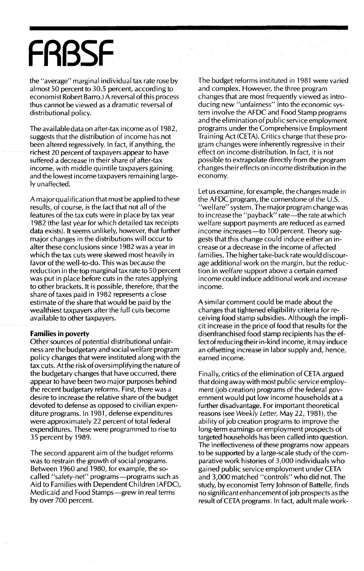## **FRBSF**

the "average" marginal individual tax rate rose by almost 50 percent to 30.5 percent, according to economist Robert Barro.) A reversal of this process thus cannot be viewed as a dramatic reversal of distributional policy.

The availabledata on after-tax income as of 1982, suggests that the distribution of income has not been altered regressively. In fact, if anything, the richest 20 percent of taxpayers appear to have suffered a decrease in their share of after-tax income, with middle quintile taxpayers gaining and the lowest income taxpayers remaining largely unaffected.

A major qual ification that must be applied to these results, of course, is the fact that not all of the features of the tax cuts were in place by tax year 1982 (the last year for which detailed tax receipts data exists). It seems unlikely, however, that further major changes inthe distributions will occur to alter these conclusions since 1982 was a year in which the tax cuts were skewed most heavily in favor of the well-to-do. This was because the reduction in the top marginal tax rate to 50 percent was put in place before cuts in the rates applying to other brackets. It is possible, therefore, that the share of taxes paid in 1982 represents a close estimate of the share that would be paid by the wealthiest taxpayers after the full cuts become available to other taxpayers.

#### **Families in poverty**

Other sources of potential distributional unfairness are the budgetary and social welfare program policy changes that were instituted along with the tax cuts. At the risk of oversimplifying the nature of the budgetary changes that have occurred, there appear to have been two major purposes behind the recent budgetary reforms. First, there was a desire to increase the relative share of the budget devoted to defense as opposed to civilian expenditure programs. In 1981, defense expenditures were approximately 22 percent of total federal expenditures. These were programmed to rise to 35 percent by 1989.

The second apparent aim of the budget reforms was to restrain the growth of social programs. Between 1960 and 1980, for example, the socalled "safety-net" programs-programs such as Aid to Families with Dependent Children (AFDC), Medicaid and Food Stamps-grew in real terms by over 700 percent.

The budget reforms instituted in 1981 were varied and complex. However, the three program changes that are most frequently viewed as introducing new "unfairness" into the economic system involve the AFDC and Food Stamp programs and the elimination of public service employment programs under.the Comprehensive Employment Training Act (CETA). Critics charge that these program changes were inherently regressive in their effect on income distribution. In fact, it is not possible to extrapolate directly from the program changes their effects on income distribution in the economy.

Let us examine, for example, the changes made in the AFDC program, the cornerstone of the U.s. "welfare" system. The major program change was to increase the "payback" rate-the rate at which welfare support payments are reduced as earned income increases-to 100 percent. Theory suggests that this change could induce either an increase or a decrease in the income of affected families. The higher take-back rate would discourage additional work on the margin, but the reduction in welfare support above a certain earned income could induce additional work and increase income.

A similar comment could be made about the changes that tightened eligibility criteria for receiving food stamp subsidies. Although the implicit increase in the price of food that results for the disenfranchised food stamp recipients has the effectof reducingtheir in-kind income, it may induce an offsetting increase in labor supply and, hence, earned income.

Finally, critics of the elimination of CETA argued that doing away with most public service employment (job creation) programs of the federal government would put low income households at a further disadvantage. For important theoretical reasons (see Weekly Letter, May 22, 1981), the ability of job creation programs to improve the long-term earnings or employment prospects of targeted households has been called into question. The ineffectiveness of these programs now appears to be supported by a large-scale study of the comparative work histories of 3,000 individuals who gained public service employment under CETA and 3,000 matched "controls" who did not. The study, by economist Terry Johnson of Battelle, finds no significant enhancement of job prospects as the result of CETA programs. In fact, adult male work-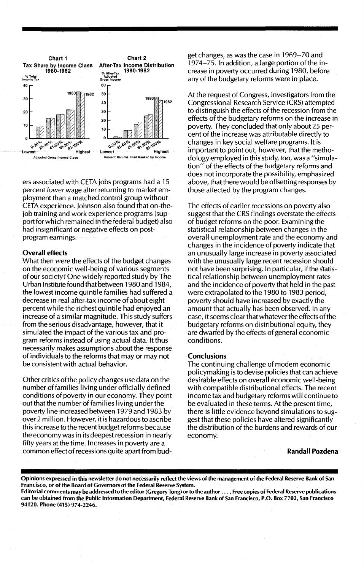

ers associated with CETA jobs programs had a 15 percent *lower* wage after returning to market employment than a matched control group without CETA experience. Johnson also found that on-thejob training and work experience programs (support for which remained in the federal budget) also had insignificant or negative effects on postprogram earnings.

#### Overall effects

What then *were* the effects of the budget changes on the economic well-being of various segments of our society? One widely reported study by The Urban Institute found that between 1980 and 1984, the lowest income quintile families had suffered a decrease in real after-tax income of about eight percent while the richest quintile had enjoyed an increase of a similar magnitude. This study suffers from the serious disadvantage, however, that it simulated the impact of the various tax and program reforms instead of using actual data. It thus necessarily makes assumptions about the response of individuals to the reforms that mayor may not be consistent with actual behavior.

Other critics ofthe policy changes use data on the number of families living under officially defined conditions of poverty in our economy. They point out that the number of families living under the poverty line increased between 1979 and 1983 by over 2 million. However, it is hazardous to ascribe this increase to the recent budget reforms because the economy was in its deepest recession in nearly fifty years at the time. Increases in poverty are a common effectof recessions qu ite apart from budget changes, as was the case in 1969-70 and 1974-75. In addition, a large portion of the increase in poverty occurred during 1980, before any of the budgetary reforms were in place.

At the request of Congress, investigators from the Congressional Research Service (CRS) attempted to distinguish the effects of the recession from the effects of the budgetary reforms on the increase in poverty. They concluded that only about 25 percent of the increase was attributable directly to changes in key social welfare programs. It is important to point out, however, that the methodology employed in this study, too, was a "simulation" of the effects of the budgetary reforms and does not incorporate the possibility, emphasized above, that there would be offsetting responses by those affected by the program changes.

The effects of earlier recessions on poverty also suggest that the CRS findings overstate the effects of budget reforms on the poor. Examining the statistical relationship between changes in the overall unemployment rate and the economy and changes in the incidence of poverty indicate that an unusually large increase in poverty associated with the unusually large recent recession should not have been surprising. In particular, ifthe statistical relationship between unemployment rates and the incidence of poverty that held in the past were extrapolated to the 1980 to 1983 period, poverty should have increased by exactly the amount that actually has been observed. In any case, it seems clear that whatever the effects of the budgetary reforms on distributional equity, they are dwarfed by the effects of general economic conditions.

### **Conclusions**

The continuing challenge of modern economic policymaking is to devise policies that can achieve desirable effects on overall economic well-being with compatible distributional effects. The recent income tax and budgetary reforms wiII continue to be evaluated in these terms. At the present time, there is little evidence beyond simulations to suggest that these policies have altered significantly the distribution of the burdens and rewards of our economy.

Randall Pozdena

Opinions expressed in this newsletter do not necessarily reflect the views of the management of the Federal Reserve Bank of San Francisco, or of the Board of Governors of the Federal Reserve System.

Editorial comments may be addressed to the editor (Gregory Tong) or to the author .... Free copies of Federal Reserve publications can be obtained from the Public Information Department, Federal Reserve Bank of San Francisco, P.O. Box 7702, San Francisco 94120. Phone (415) 974-2246.